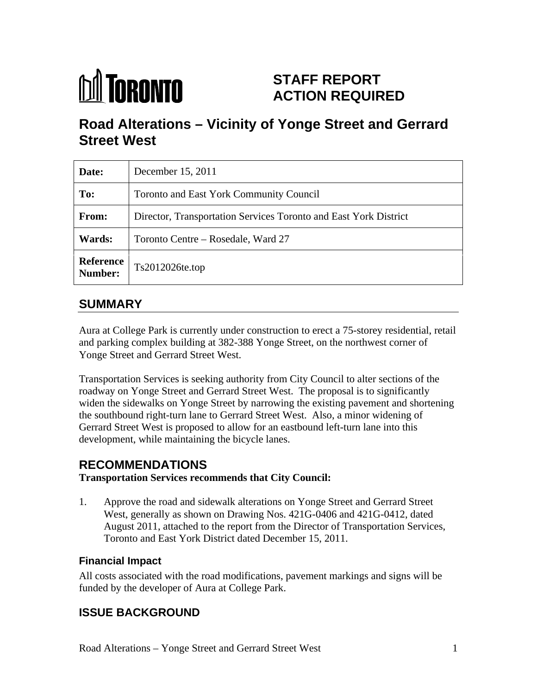

# **STAFF REPORT ACTION REQUIRED**

# **Road Alterations – Vicinity of Yonge Street and Gerrard Street West**

| Date:                | December 15, 2011                                                |
|----------------------|------------------------------------------------------------------|
| To:                  | Toronto and East York Community Council                          |
| From:                | Director, Transportation Services Toronto and East York District |
| <b>Wards:</b>        | Toronto Centre – Rosedale, Ward 27                               |
| Reference<br>Number: | $Ts2012026$ te.top                                               |

## **SUMMARY**

Aura at College Park is currently under construction to erect a 75-storey residential, retail and parking complex building at 382-388 Yonge Street, on the northwest corner of Yonge Street and Gerrard Street West.

Transportation Services is seeking authority from City Council to alter sections of the roadway on Yonge Street and Gerrard Street West. The proposal is to significantly widen the sidewalks on Yonge Street by narrowing the existing pavement and shortening the southbound right-turn lane to Gerrard Street West. Also, a minor widening of Gerrard Street West is proposed to allow for an eastbound left-turn lane into this development, while maintaining the bicycle lanes.

## **RECOMMENDATIONS**

### **Transportation Services recommends that City Council:**

1. Approve the road and sidewalk alterations on Yonge Street and Gerrard Street West, generally as shown on Drawing Nos. 421G-0406 and 421G-0412, dated August 2011, attached to the report from the Director of Transportation Services, Toronto and East York District dated December 15, 2011.

## **Financial Impact**

All costs associated with the road modifications, pavement markings and signs will be funded by the developer of Aura at College Park.

## **ISSUE BACKGROUND**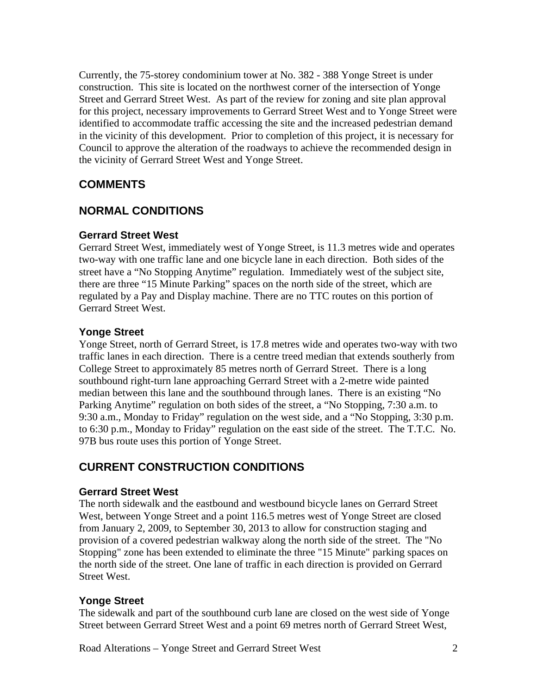Currently, the 75-storey condominium tower at No. 382 - 388 Yonge Street is under construction. This site is located on the northwest corner of the intersection of Yonge Street and Gerrard Street West. As part of the review for zoning and site plan approval for this project, necessary improvements to Gerrard Street West and to Yonge Street were identified to accommodate traffic accessing the site and the increased pedestrian demand in the vicinity of this development. Prior to completion of this project, it is necessary for Council to approve the alteration of the roadways to achieve the recommended design in the vicinity of Gerrard Street West and Yonge Street.

## **COMMENTS**

## **NORMAL CONDITIONS**

#### **Gerrard Street West**

Gerrard Street West, immediately west of Yonge Street, is 11.3 metres wide and operates two-way with one traffic lane and one bicycle lane in each direction. Both sides of the street have a "No Stopping Anytime" regulation. Immediately west of the subject site, there are three "15 Minute Parking" spaces on the north side of the street, which are regulated by a Pay and Display machine. There are no TTC routes on this portion of Gerrard Street West.

#### **Yonge Street**

Yonge Street, north of Gerrard Street, is 17.8 metres wide and operates two-way with two traffic lanes in each direction. There is a centre treed median that extends southerly from College Street to approximately 85 metres north of Gerrard Street. There is a long southbound right-turn lane approaching Gerrard Street with a 2-metre wide painted median between this lane and the southbound through lanes. There is an existing "No Parking Anytime" regulation on both sides of the street, a "No Stopping, 7:30 a.m. to 9:30 a.m., Monday to Friday" regulation on the west side, and a "No Stopping, 3:30 p.m. to 6:30 p.m., Monday to Friday" regulation on the east side of the street. The T.T.C. No. 97B bus route uses this portion of Yonge Street.

## **CURRENT CONSTRUCTION CONDITIONS**

#### **Gerrard Street West**

The north sidewalk and the eastbound and westbound bicycle lanes on Gerrard Street West, between Yonge Street and a point 116.5 metres west of Yonge Street are closed from January 2, 2009, to September 30, 2013 to allow for construction staging and provision of a covered pedestrian walkway along the north side of the street. The "No Stopping" zone has been extended to eliminate the three "15 Minute" parking spaces on the north side of the street. One lane of traffic in each direction is provided on Gerrard Street West.

#### **Yonge Street**

The sidewalk and part of the southbound curb lane are closed on the west side of Yonge Street between Gerrard Street West and a point 69 metres north of Gerrard Street West,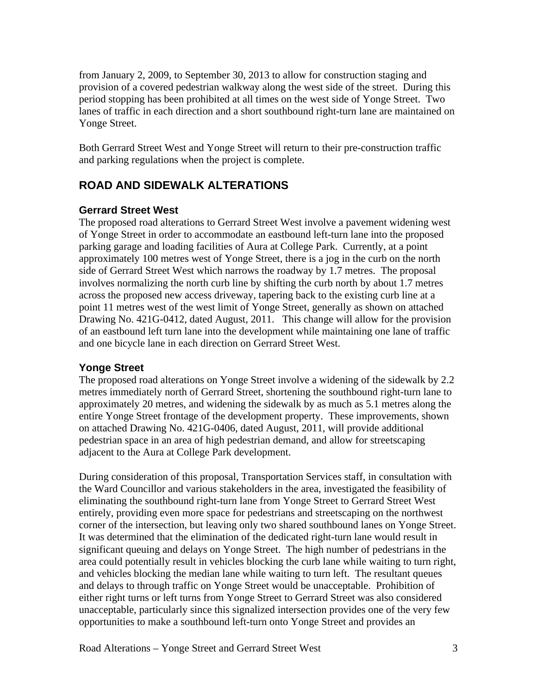from January 2, 2009, to September 30, 2013 to allow for construction staging and provision of a covered pedestrian walkway along the west side of the street. During this period stopping has been prohibited at all times on the west side of Yonge Street. Two lanes of traffic in each direction and a short southbound right-turn lane are maintained on Yonge Street.

Both Gerrard Street West and Yonge Street will return to their pre-construction traffic and parking regulations when the project is complete.

## **ROAD AND SIDEWALK ALTERATIONS**

#### **Gerrard Street West**

The proposed road alterations to Gerrard Street West involve a pavement widening west of Yonge Street in order to accommodate an eastbound left-turn lane into the proposed parking garage and loading facilities of Aura at College Park. Currently, at a point approximately 100 metres west of Yonge Street, there is a jog in the curb on the north side of Gerrard Street West which narrows the roadway by 1.7 metres. The proposal involves normalizing the north curb line by shifting the curb north by about 1.7 metres across the proposed new access driveway, tapering back to the existing curb line at a point 11 metres west of the west limit of Yonge Street, generally as shown on attached Drawing No. 421G-0412, dated August, 2011. This change will allow for the provision of an eastbound left turn lane into the development while maintaining one lane of traffic and one bicycle lane in each direction on Gerrard Street West.

### **Yonge Street**

The proposed road alterations on Yonge Street involve a widening of the sidewalk by 2.2 metres immediately north of Gerrard Street, shortening the southbound right-turn lane to approximately 20 metres, and widening the sidewalk by as much as 5.1 metres along the entire Yonge Street frontage of the development property. These improvements, shown on attached Drawing No. 421G-0406, dated August, 2011, will provide additional pedestrian space in an area of high pedestrian demand, and allow for streetscaping adjacent to the Aura at College Park development.

During consideration of this proposal, Transportation Services staff, in consultation with the Ward Councillor and various stakeholders in the area, investigated the feasibility of eliminating the southbound right-turn lane from Yonge Street to Gerrard Street West entirely, providing even more space for pedestrians and streetscaping on the northwest corner of the intersection, but leaving only two shared southbound lanes on Yonge Street. It was determined that the elimination of the dedicated right-turn lane would result in significant queuing and delays on Yonge Street. The high number of pedestrians in the area could potentially result in vehicles blocking the curb lane while waiting to turn right, and vehicles blocking the median lane while waiting to turn left. The resultant queues and delays to through traffic on Yonge Street would be unacceptable. Prohibition of either right turns or left turns from Yonge Street to Gerrard Street was also considered unacceptable, particularly since this signalized intersection provides one of the very few opportunities to make a southbound left-turn onto Yonge Street and provides an